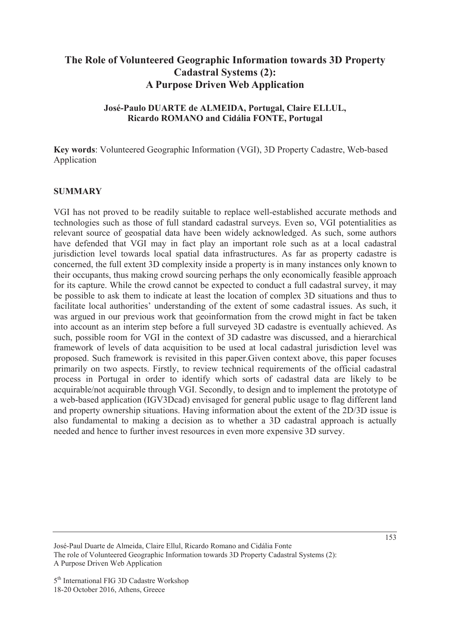# **The Role of Volunteered Geographic Information towards 3D Property Cadastral Systems (2): A Purpose Driven Web Application**

### **José-Paulo DUARTE de ALMEIDA, Portugal, Claire ELLUL, Ricardo ROMANO and Cidália FONTE, Portugal**

**Key words**: Volunteered Geographic Information (VGI), 3D Property Cadastre, Web-based Application

#### **SUMMARY**

VGI has not proved to be readily suitable to replace well-established accurate methods and technologies such as those of full standard cadastral surveys. Even so, VGI potentialities as relevant source of geospatial data have been widely acknowledged. As such, some authors have defended that VGI may in fact play an important role such as at a local cadastral jurisdiction level towards local spatial data infrastructures. As far as property cadastre is concerned, the full extent 3D complexity inside a property is in many instances only known to their occupants, thus making crowd sourcing perhaps the only economically feasible approach for its capture. While the crowd cannot be expected to conduct a full cadastral survey, it may be possible to ask them to indicate at least the location of complex 3D situations and thus to facilitate local authorities' understanding of the extent of some cadastral issues. As such, it was argued in our previous work that geoinformation from the crowd might in fact be taken into account as an interim step before a full surveyed 3D cadastre is eventually achieved. As such, possible room for VGI in the context of 3D cadastre was discussed, and a hierarchical framework of levels of data acquisition to be used at local cadastral jurisdiction level was proposed. Such framework is revisited in this paper.Given context above, this paper focuses primarily on two aspects. Firstly, to review technical requirements of the official cadastral process in Portugal in order to identify which sorts of cadastral data are likely to be acquirable/not acquirable through VGI. Secondly, to design and to implement the prototype of a web-based application (IGV3Dcad) envisaged for general public usage to flag different land and property ownership situations. Having information about the extent of the 2D/3D issue is also fundamental to making a decision as to whether a 3D cadastral approach is actually needed and hence to further invest resources in even more expensive 3D survey.

José-Paul Duarte de Almeida, Claire Ellul, Ricardo Romano and Cidália Fonte The role of Volunteered Geographic Information towards 3D Property Cadastral Systems (2): A Purpose Driven Web Application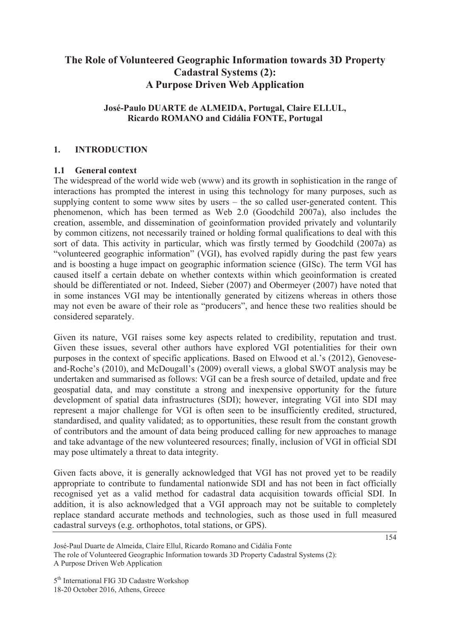# **The Role of Volunteered Geographic Information towards 3D Property Cadastral Systems (2): A Purpose Driven Web Application**

## **José-Paulo DUARTE de ALMEIDA, Portugal, Claire ELLUL, Ricardo ROMANO and Cidália FONTE, Portugal**

### **1. INTRODUCTION**

#### **1.1 General context**

The widespread of the world wide web (www) and its growth in sophistication in the range of interactions has prompted the interest in using this technology for many purposes, such as supplying content to some www sites by users – the so called user-generated content. This phenomenon, which has been termed as Web 2.0 (Goodchild 2007a), also includes the creation, assemble, and dissemination of geoinformation provided privately and voluntarily by common citizens, not necessarily trained or holding formal qualifications to deal with this sort of data. This activity in particular, which was firstly termed by Goodchild (2007a) as "volunteered geographic information" (VGI), has evolved rapidly during the past few years and is boosting a huge impact on geographic information science (GISc). The term VGI has caused itself a certain debate on whether contexts within which geoinformation is created should be differentiated or not. Indeed, Sieber (2007) and Obermeyer (2007) have noted that in some instances VGI may be intentionally generated by citizens whereas in others those may not even be aware of their role as "producers", and hence these two realities should be considered separately.

Given its nature, VGI raises some key aspects related to credibility, reputation and trust. Given these issues, several other authors have explored VGI potentialities for their own purposes in the context of specific applications. Based on Elwood et al.'s (2012), Genoveseand-Roche's (2010), and McDougall's (2009) overall views, a global SWOT analysis may be undertaken and summarised as follows: VGI can be a fresh source of detailed, update and free geospatial data, and may constitute a strong and inexpensive opportunity for the future development of spatial data infrastructures (SDI); however, integrating VGI into SDI may represent a major challenge for VGI is often seen to be insufficiently credited, structured, standardised, and quality validated; as to opportunities, these result from the constant growth of contributors and the amount of data being produced calling for new approaches to manage and take advantage of the new volunteered resources; finally, inclusion of VGI in official SDI may pose ultimately a threat to data integrity.

Given facts above, it is generally acknowledged that VGI has not proved yet to be readily appropriate to contribute to fundamental nationwide SDI and has not been in fact officially recognised yet as a valid method for cadastral data acquisition towards official SDI. In addition, it is also acknowledged that a VGI approach may not be suitable to completely replace standard accurate methods and technologies, such as those used in full measured cadastral surveys (e.g. orthophotos, total stations, or GPS).

5<sup>th</sup> International FIG 3D Cadastre Workshop 18-20 October 2016, Athens, Greece

José-Paul Duarte de Almeida, Claire Ellul, Ricardo Romano and Cidália Fonte The role of Volunteered Geographic Information towards 3D Property Cadastral Systems (2): A Purpose Driven Web Application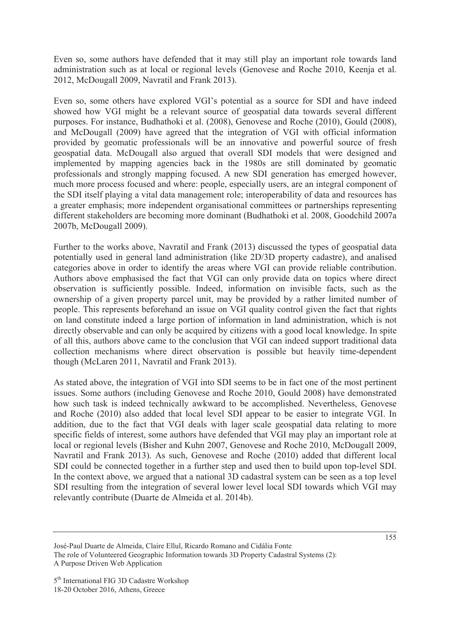Even so, some authors have defended that it may still play an important role towards land administration such as at local or regional levels (Genovese and Roche 2010, Keenja et al. 2012, McDougall 2009, Navratil and Frank 2013).

Even so, some others have explored VGI's potential as a source for SDI and have indeed showed how VGI might be a relevant source of geospatial data towards several different purposes. For instance, Budhathoki et al. (2008), Genovese and Roche (2010), Gould (2008), and McDougall (2009) have agreed that the integration of VGI with official information provided by geomatic professionals will be an innovative and powerful source of fresh geospatial data. McDougall also argued that overall SDI models that were designed and implemented by mapping agencies back in the 1980s are still dominated by geomatic professionals and strongly mapping focused. A new SDI generation has emerged however, much more process focused and where: people, especially users, are an integral component of the SDI itself playing a vital data management role; interoperability of data and resources has a greater emphasis; more independent organisational committees or partnerships representing different stakeholders are becoming more dominant (Budhathoki et al. 2008, Goodchild 2007a 2007b, McDougall 2009).

Further to the works above, Navratil and Frank (2013) discussed the types of geospatial data potentially used in general land administration (like 2D/3D property cadastre), and analised categories above in order to identify the areas where VGI can provide reliable contribution. Authors above emphasised the fact that VGI can only provide data on topics where direct observation is sufficiently possible. Indeed, information on invisible facts, such as the ownership of a given property parcel unit, may be provided by a rather limited number of people. This represents beforehand an issue on VGI quality control given the fact that rights on land constitute indeed a large portion of information in land administration, which is not directly observable and can only be acquired by citizens with a good local knowledge. In spite of all this, authors above came to the conclusion that VGI can indeed support traditional data collection mechanisms where direct observation is possible but heavily time-dependent though (McLaren 2011, Navratil and Frank 2013).

As stated above, the integration of VGI into SDI seems to be in fact one of the most pertinent issues. Some authors (including Genovese and Roche 2010, Gould 2008) have demonstrated how such task is indeed technically awkward to be accomplished. Nevertheless, Genovese and Roche (2010) also added that local level SDI appear to be easier to integrate VGI. In addition, due to the fact that VGI deals with lager scale geospatial data relating to more specific fields of interest, some authors have defended that VGI may play an important role at local or regional levels (Bisher and Kuhn 2007, Genovese and Roche 2010, McDougall 2009, Navratil and Frank 2013). As such, Genovese and Roche (2010) added that different local SDI could be connected together in a further step and used then to build upon top-level SDI. In the context above, we argued that a national 3D cadastral system can be seen as a top level SDI resulting from the integration of several lower level local SDI towards which VGI may relevantly contribute (Duarte de Almeida et al. 2014b).

José-Paul Duarte de Almeida, Claire Ellul, Ricardo Romano and Cidália Fonte The role of Volunteered Geographic Information towards 3D Property Cadastral Systems (2): A Purpose Driven Web Application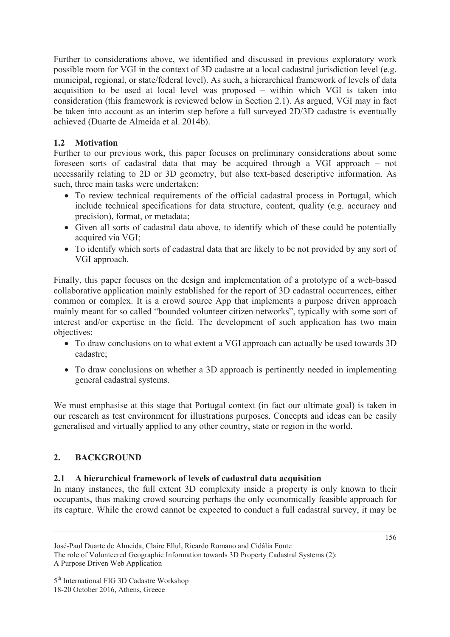Further to considerations above, we identified and discussed in previous exploratory work possible room for VGI in the context of 3D cadastre at a local cadastral jurisdiction level (e.g. municipal, regional, or state/federal level). As such, a hierarchical framework of levels of data acquisition to be used at local level was proposed – within which VGI is taken into consideration (this framework is reviewed below in Section 2.1). As argued, VGI may in fact be taken into account as an interim step before a full surveyed 2D/3D cadastre is eventually achieved (Duarte de Almeida et al. 2014b).

# **1.2 Motivation**

Further to our previous work, this paper focuses on preliminary considerations about some foreseen sorts of cadastral data that may be acquired through a VGI approach – not necessarily relating to 2D or 3D geometry, but also text-based descriptive information. As such, three main tasks were undertaken:

- To review technical requirements of the official cadastral process in Portugal, which include technical specifications for data structure, content, quality (e.g. accuracy and precision), format, or metadata;
- Given all sorts of cadastral data above, to identify which of these could be potentially acquired via VGI;
- To identify which sorts of cadastral data that are likely to be not provided by any sort of VGI approach.

Finally, this paper focuses on the design and implementation of a prototype of a web-based collaborative application mainly established for the report of 3D cadastral occurrences, either common or complex. It is a crowd source App that implements a purpose driven approach mainly meant for so called "bounded volunteer citizen networks", typically with some sort of interest and/or expertise in the field. The development of such application has two main objectives:

- To draw conclusions on to what extent a VGI approach can actually be used towards 3D cadastre;
- To draw conclusions on whether a 3D approach is pertinently needed in implementing general cadastral systems.

We must emphasise at this stage that Portugal context (in fact our ultimate goal) is taken in our research as test environment for illustrations purposes. Concepts and ideas can be easily generalised and virtually applied to any other country, state or region in the world.

## **2. BACKGROUND**

## **2.1 A hierarchical framework of levels of cadastral data acquisition**

In many instances, the full extent 3D complexity inside a property is only known to their occupants, thus making crowd sourcing perhaps the only economically feasible approach for its capture. While the crowd cannot be expected to conduct a full cadastral survey, it may be

José-Paul Duarte de Almeida, Claire Ellul, Ricardo Romano and Cidália Fonte The role of Volunteered Geographic Information towards 3D Property Cadastral Systems (2): A Purpose Driven Web Application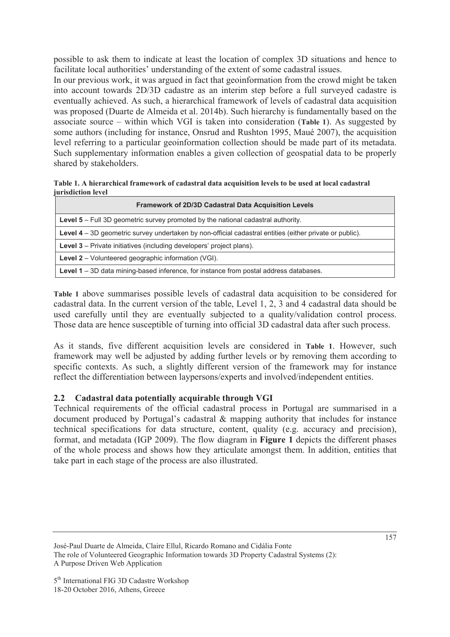possible to ask them to indicate at least the location of complex 3D situations and hence to facilitate local authorities' understanding of the extent of some cadastral issues.

In our previous work, it was argued in fact that geoinformation from the crowd might be taken into account towards 2D/3D cadastre as an interim step before a full surveyed cadastre is eventually achieved. As such, a hierarchical framework of levels of cadastral data acquisition was proposed (Duarte de Almeida et al. 2014b). Such hierarchy is fundamentally based on the associate source – within which VGI is taken into consideration (**Table 1**). As suggested by some authors (including for instance, Onsrud and Rushton 1995, Maué 2007), the acquisition level referring to a particular geoinformation collection should be made part of its metadata. Such supplementary information enables a given collection of geospatial data to be properly shared by stakeholders.

**Table 1. A hierarchical framework of cadastral data acquisition levels to be used at local cadastral jurisdiction level** 

| <b>Framework of 2D/3D Cadastral Data Acquisition Levels</b>                                             |
|---------------------------------------------------------------------------------------------------------|
| <b>Level 5</b> – Full 3D geometric survey promoted by the national cadastral authority.                 |
| Level 4 – 3D geometric survey undertaken by non-official cadastral entities (either private or public). |
| <b>Level 3</b> – Private initiatives (including developers' project plans).                             |
| <b>Level 2</b> – Volunteered geographic information (VGI).                                              |
| Level 1 – 3D data mining-based inference, for instance from postal address databases.                   |

**Table 1** above summarises possible levels of cadastral data acquisition to be considered for cadastral data. In the current version of the table, Level 1, 2, 3 and 4 cadastral data should be used carefully until they are eventually subjected to a quality/validation control process. Those data are hence susceptible of turning into official 3D cadastral data after such process.

As it stands, five different acquisition levels are considered in **Table 1**. However, such framework may well be adjusted by adding further levels or by removing them according to specific contexts. As such, a slightly different version of the framework may for instance reflect the differentiation between laypersons/experts and involved/independent entities.

# **2.2 Cadastral data potentially acquirable through VGI**

Technical requirements of the official cadastral process in Portugal are summarised in a document produced by Portugal's cadastral & mapping authority that includes for instance technical specifications for data structure, content, quality (e.g. accuracy and precision), format, and metadata (IGP 2009). The flow diagram in **Figure 1** depicts the different phases of the whole process and shows how they articulate amongst them. In addition, entities that take part in each stage of the process are also illustrated.

José-Paul Duarte de Almeida, Claire Ellul, Ricardo Romano and Cidália Fonte The role of Volunteered Geographic Information towards 3D Property Cadastral Systems (2): A Purpose Driven Web Application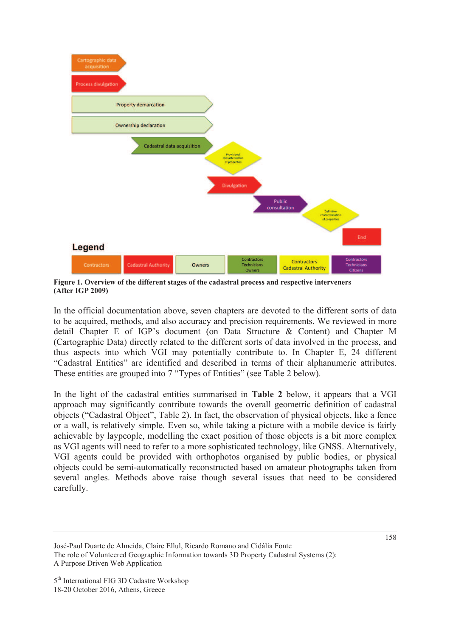

**Figure 1. Overview of the different stages of the cadastral process and respective interveners (After IGP 2009)** 

In the official documentation above, seven chapters are devoted to the different sorts of data to be acquired, methods, and also accuracy and precision requirements. We reviewed in more detail Chapter E of IGP's document (on Data Structure & Content) and Chapter M (Cartographic Data) directly related to the different sorts of data involved in the process, and thus aspects into which VGI may potentially contribute to. In Chapter E, 24 different "Cadastral Entities" are identified and described in terms of their alphanumeric attributes. These entities are grouped into 7 "Types of Entities" (see Table 2 below).

In the light of the cadastral entities summarised in **Table 2** below, it appears that a VGI approach may significantly contribute towards the overall geometric definition of cadastral objects ("Cadastral Object", Table 2). In fact, the observation of physical objects, like a fence or a wall, is relatively simple. Even so, while taking a picture with a mobile device is fairly achievable by laypeople, modelling the exact position of those objects is a bit more complex as VGI agents will need to refer to a more sophisticated technology, like GNSS. Alternatively, VGI agents could be provided with orthophotos organised by public bodies, or physical objects could be semi-automatically reconstructed based on amateur photographs taken from several angles. Methods above raise though several issues that need to be considered carefully.

José-Paul Duarte de Almeida, Claire Ellul, Ricardo Romano and Cidália Fonte The role of Volunteered Geographic Information towards 3D Property Cadastral Systems (2): A Purpose Driven Web Application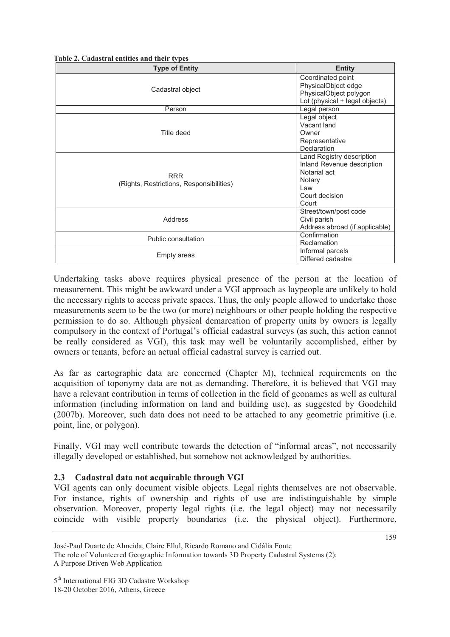**Table 2. Cadastral entities and their types** 

| <b>Type of Entity</b>                                  | <b>Entity</b>                                                                                                       |
|--------------------------------------------------------|---------------------------------------------------------------------------------------------------------------------|
| Cadastral object                                       | Coordinated point<br>PhysicalObject edge<br>PhysicalObject polygon<br>Lot (physical + legal objects)                |
| Person                                                 | Legal person                                                                                                        |
| Title deed                                             | Legal object<br>Vacant land<br>Owner<br>Representative<br>Declaration                                               |
| <b>RRR</b><br>(Rights, Restrictions, Responsibilities) | Land Registry description<br>Inland Revenue description<br>Notarial act<br>Notary<br>Law<br>Court decision<br>Court |
| Address                                                | Street/town/post code<br>Civil parish<br>Address abroad (if applicable)                                             |
| Public consultation                                    | Confirmation<br>Reclamation                                                                                         |
| <b>Empty areas</b>                                     | Informal parcels<br>Differed cadastre                                                                               |

Undertaking tasks above requires physical presence of the person at the location of measurement. This might be awkward under a VGI approach as laypeople are unlikely to hold the necessary rights to access private spaces. Thus, the only people allowed to undertake those measurements seem to be the two (or more) neighbours or other people holding the respective permission to do so. Although physical demarcation of property units by owners is legally compulsory in the context of Portugal's official cadastral surveys (as such, this action cannot be really considered as VGI), this task may well be voluntarily accomplished, either by owners or tenants, before an actual official cadastral survey is carried out.

As far as cartographic data are concerned (Chapter M), technical requirements on the acquisition of toponymy data are not as demanding. Therefore, it is believed that VGI may have a relevant contribution in terms of collection in the field of geonames as well as cultural information (including information on land and building use), as suggested by Goodchild (2007b). Moreover, such data does not need to be attached to any geometric primitive (i.e. point, line, or polygon).

Finally, VGI may well contribute towards the detection of "informal areas", not necessarily illegally developed or established, but somehow not acknowledged by authorities.

#### **2.3 Cadastral data not acquirable through VGI**

VGI agents can only document visible objects. Legal rights themselves are not observable. For instance, rights of ownership and rights of use are indistinguishable by simple observation. Moreover, property legal rights (i.e. the legal object) may not necessarily coincide with visible property boundaries (i.e. the physical object). Furthermore,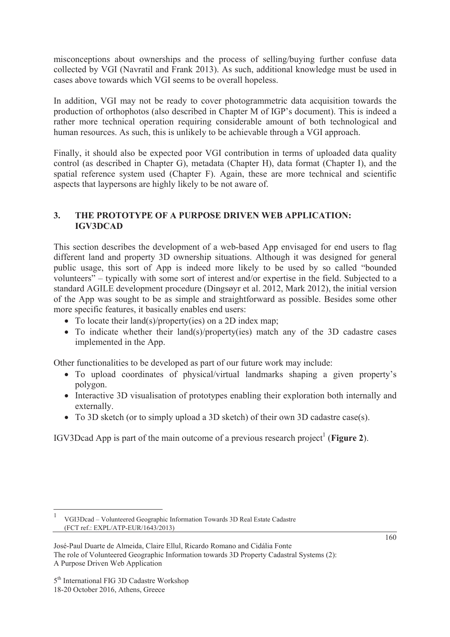misconceptions about ownerships and the process of selling/buying further confuse data collected by VGI (Navratil and Frank 2013). As such, additional knowledge must be used in cases above towards which VGI seems to be overall hopeless.

In addition, VGI may not be ready to cover photogrammetric data acquisition towards the production of orthophotos (also described in Chapter M of IGP's document). This is indeed a rather more technical operation requiring considerable amount of both technological and human resources. As such, this is unlikely to be achievable through a VGI approach.

Finally, it should also be expected poor VGI contribution in terms of uploaded data quality control (as described in Chapter G), metadata (Chapter H), data format (Chapter I), and the spatial reference system used (Chapter F). Again, these are more technical and scientific aspects that laypersons are highly likely to be not aware of.

## **3. THE PROTOTYPE OF A PURPOSE DRIVEN WEB APPLICATION: IGV3DCAD**

This section describes the development of a web-based App envisaged for end users to flag different land and property 3D ownership situations. Although it was designed for general public usage, this sort of App is indeed more likely to be used by so called "bounded volunteers" – typically with some sort of interest and/or expertise in the field. Subjected to a standard AGILE development procedure (Dingsøyr et al. 2012, Mark 2012), the initial version of the App was sought to be as simple and straightforward as possible. Besides some other more specific features, it basically enables end users:

- To locate their land(s)/property(ies) on a 2D index map;
- To indicate whether their land(s)/property(ies) match any of the 3D cadastre cases implemented in the App.

Other functionalities to be developed as part of our future work may include:

- To upload coordinates of physical/virtual landmarks shaping a given property's polygon.
- Interactive 3D visualisation of prototypes enabling their exploration both internally and externally.
- To 3D sketch (or to simply upload a 3D sketch) of their own 3D cadastre case(s).

IGV3Dcad App is part of the main outcome of a previous research project<sup>1</sup> (Figure 2).

 $\overline{a}$ 

<sup>1</sup> VGI3Dcad – Volunteered Geographic Information Towards 3D Real Estate Cadastre (FCT ref.: EXPL/ATP-EUR/1643/2013)

José-Paul Duarte de Almeida, Claire Ellul, Ricardo Romano and Cidália Fonte The role of Volunteered Geographic Information towards 3D Property Cadastral Systems (2): A Purpose Driven Web Application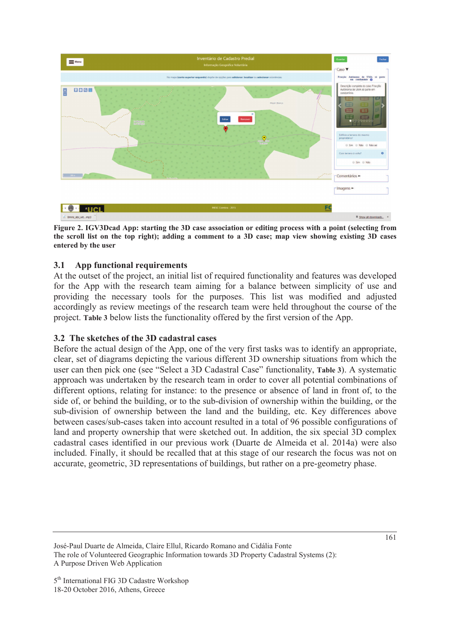

**Figure 2. IGV3Dcad App: starting the 3D case association or editing process with a point (selecting from the scroll list on the top right); adding a comment to a 3D case; map view showing existing 3D cases entered by the user**

### **3.1 App functional requirements**

At the outset of the project, an initial list of required functionality and features was developed for the App with the research team aiming for a balance between simplicity of use and providing the necessary tools for the purposes. This list was modified and adjusted accordingly as review meetings of the research team were held throughout the course of the project. **Table 3** below lists the functionality offered by the first version of the App.

#### **3.2 The sketches of the 3D cadastral cases**

Before the actual design of the App, one of the very first tasks was to identify an appropriate, clear, set of diagrams depicting the various different 3D ownership situations from which the user can then pick one (see "Select a 3D Cadastral Case" functionality, **Table 3**). A systematic approach was undertaken by the research team in order to cover all potential combinations of different options, relating for instance: to the presence or absence of land in front of, to the side of, or behind the building, or to the sub-division of ownership within the building, or the sub-division of ownership between the land and the building, etc. Key differences above between cases/sub-cases taken into account resulted in a total of 96 possible configurations of land and property ownership that were sketched out. In addition, the six special 3D complex cadastral cases identified in our previous work (Duarte de Almeida et al. 2014a) were also included. Finally, it should be recalled that at this stage of our research the focus was not on accurate, geometric, 3D representations of buildings, but rather on a pre-geometry phase.

José-Paul Duarte de Almeida, Claire Ellul, Ricardo Romano and Cidália Fonte The role of Volunteered Geographic Information towards 3D Property Cadastral Systems (2): A Purpose Driven Web Application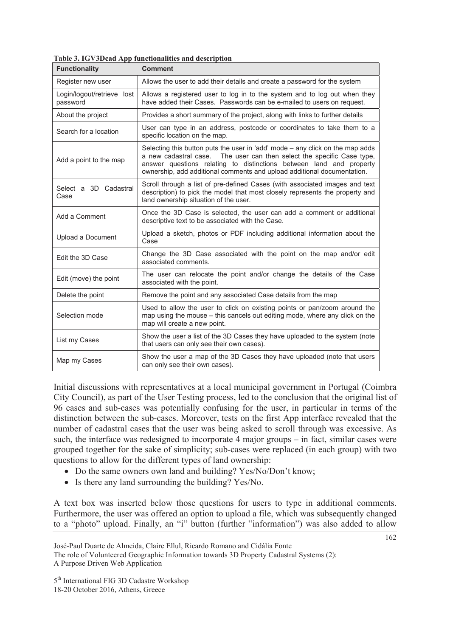| <b>Functionality</b>                   | <b>Comment</b>                                                                                                                                                                                                                                                                                             |
|----------------------------------------|------------------------------------------------------------------------------------------------------------------------------------------------------------------------------------------------------------------------------------------------------------------------------------------------------------|
| Register new user                      | Allows the user to add their details and create a password for the system                                                                                                                                                                                                                                  |
| Login/logout/retrieve lost<br>password | Allows a registered user to log in to the system and to log out when they<br>have added their Cases. Passwords can be e-mailed to users on request.                                                                                                                                                        |
| About the project                      | Provides a short summary of the project, along with links to further details                                                                                                                                                                                                                               |
| Search for a location                  | User can type in an address, postcode or coordinates to take them to a<br>specific location on the map.                                                                                                                                                                                                    |
| Add a point to the map                 | Selecting this button puts the user in 'add' mode – any click on the map adds<br>a new cadastral case.  The user can then select the specific Case type,<br>answer questions relating to distinctions between land and property<br>ownership, add additional comments and upload additional documentation. |
| Select a 3D Cadastral<br>Case          | Scroll through a list of pre-defined Cases (with associated images and text<br>description) to pick the model that most closely represents the property and<br>land ownership situation of the user.                                                                                                       |
| Add a Comment                          | Once the 3D Case is selected, the user can add a comment or additional<br>descriptive text to be associated with the Case.                                                                                                                                                                                 |
| Upload a Document                      | Upload a sketch, photos or PDF including additional information about the<br>Case                                                                                                                                                                                                                          |
| Edit the 3D Case                       | Change the 3D Case associated with the point on the map and/or edit<br>associated comments.                                                                                                                                                                                                                |
| Edit (move) the point                  | The user can relocate the point and/or change the details of the Case<br>associated with the point.                                                                                                                                                                                                        |
| Delete the point                       | Remove the point and any associated Case details from the map                                                                                                                                                                                                                                              |
| Selection mode                         | Used to allow the user to click on existing points or pan/zoom around the<br>map using the mouse – this cancels out editing mode, where any click on the<br>map will create a new point.                                                                                                                   |
| List my Cases                          | Show the user a list of the 3D Cases they have uploaded to the system (note<br>that users can only see their own cases).                                                                                                                                                                                   |
| Map my Cases                           | Show the user a map of the 3D Cases they have uploaded (note that users<br>can only see their own cases).                                                                                                                                                                                                  |

**Table 3. IGV3Dcad App functionalities and description** 

Initial discussions with representatives at a local municipal government in Portugal (Coimbra City Council), as part of the User Testing process, led to the conclusion that the original list of 96 cases and sub-cases was potentially confusing for the user, in particular in terms of the distinction between the sub-cases. Moreover, tests on the first App interface revealed that the number of cadastral cases that the user was being asked to scroll through was excessive. As such, the interface was redesigned to incorporate 4 major groups – in fact, similar cases were grouped together for the sake of simplicity; sub-cases were replaced (in each group) with two questions to allow for the different types of land ownership:

- Do the same owners own land and building? Yes/No/Don't know;
- Is there any land surrounding the building?  $Yes/No$ .

A text box was inserted below those questions for users to type in additional comments. Furthermore, the user was offered an option to upload a file, which was subsequently changed to a "photo" upload. Finally, an "i" button (further "information") was also added to allow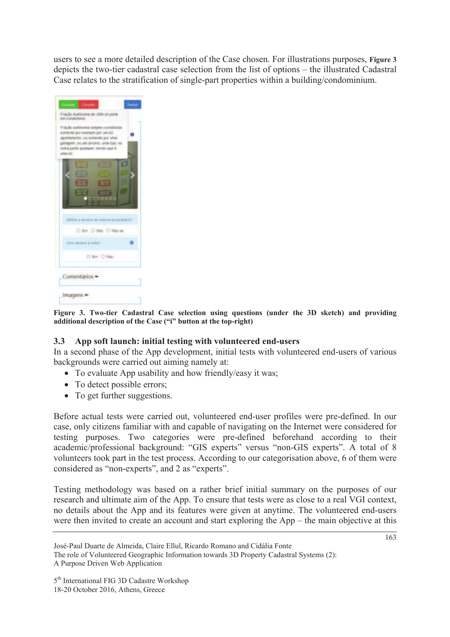users to see a more detailed description of the Case chosen. For illustrations purposes, **Figure 3** depicts the two-tier cadastral case selection from the list of options – the illustrated Cadastral Case relates to the stratification of single-part properties within a building/condominium.

| uma só | em condomínio.<br>Fração autónoma smpies constituida<br>somente por exemplo por um só.<br>apartamento, ou somente por uma-<br>garagem. ou um arrumo, uma loja, ou<br>outra parte qualquer, sendo que é |                       |  |
|--------|--------------------------------------------------------------------------------------------------------------------------------------------------------------------------------------------------------|-----------------------|--|
|        |                                                                                                                                                                                                        |                       |  |
|        | Edificio e terreno do mesmo proprietário?                                                                                                                                                              |                       |  |
|        |                                                                                                                                                                                                        | O Sim O Não O Não sei |  |
|        | Com terreno à volta?                                                                                                                                                                                   | O Sm D Não            |  |
|        | <b>Comentários</b>                                                                                                                                                                                     |                       |  |

**Figure 3. Two-tier Cadastral Case selection using questions (under the 3D sketch) and providing additional description of the Case ("i" button at the top-right)** 

## **3.3 App soft launch: initial testing with volunteered end-users**

In a second phase of the App development, initial tests with volunteered end-users of various backgrounds were carried out aiming namely at:

- To evaluate App usability and how friendly/easy it was;
- To detect possible errors;
- To get further suggestions.

Before actual tests were carried out, volunteered end-user profiles were pre-defined. In our case, only citizens familiar with and capable of navigating on the Internet were considered for testing purposes. Two categories were pre-defined beforehand according to their academic/professional background: "GIS experts" versus "non-GIS experts". A total of 8 volunteers took part in the test process. According to our categorisation above, 6 of them were considered as "non-experts", and 2 as "experts".

Testing methodology was based on a rather brief initial summary on the purposes of our research and ultimate aim of the App. To ensure that tests were as close to a real VGI context, no details about the App and its features were given at anytime. The volunteered end-users were then invited to create an account and start exploring the App – the main objective at this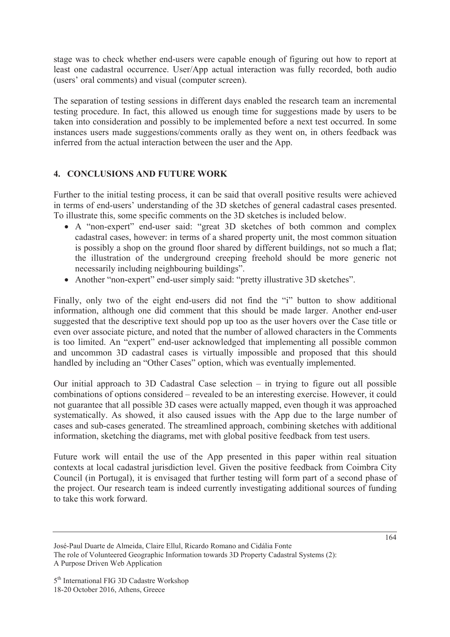stage was to check whether end-users were capable enough of figuring out how to report at least one cadastral occurrence. User/App actual interaction was fully recorded, both audio (users' oral comments) and visual (computer screen).

The separation of testing sessions in different days enabled the research team an incremental testing procedure. In fact, this allowed us enough time for suggestions made by users to be taken into consideration and possibly to be implemented before a next test occurred. In some instances users made suggestions/comments orally as they went on, in others feedback was inferred from the actual interaction between the user and the App.

## **4. CONCLUSIONS AND FUTURE WORK**

Further to the initial testing process, it can be said that overall positive results were achieved in terms of end-users' understanding of the 3D sketches of general cadastral cases presented. To illustrate this, some specific comments on the 3D sketches is included below.

- x A "non-expert" end-user said: "great 3D sketches of both common and complex cadastral cases, however: in terms of a shared property unit, the most common situation is possibly a shop on the ground floor shared by different buildings, not so much a flat; the illustration of the underground creeping freehold should be more generic not necessarily including neighbouring buildings".
- Another "non-expert" end-user simply said: "pretty illustrative 3D sketches".

Finally, only two of the eight end-users did not find the "i" button to show additional information, although one did comment that this should be made larger. Another end-user suggested that the descriptive text should pop up too as the user hovers over the Case title or even over associate picture, and noted that the number of allowed characters in the Comments is too limited. An "expert" end-user acknowledged that implementing all possible common and uncommon 3D cadastral cases is virtually impossible and proposed that this should handled by including an "Other Cases" option, which was eventually implemented.

Our initial approach to 3D Cadastral Case selection – in trying to figure out all possible combinations of options considered – revealed to be an interesting exercise. However, it could not guarantee that all possible 3D cases were actually mapped, even though it was approached systematically. As showed, it also caused issues with the App due to the large number of cases and sub-cases generated. The streamlined approach, combining sketches with additional information, sketching the diagrams, met with global positive feedback from test users.

Future work will entail the use of the App presented in this paper within real situation contexts at local cadastral jurisdiction level. Given the positive feedback from Coimbra City Council (in Portugal), it is envisaged that further testing will form part of a second phase of the project. Our research team is indeed currently investigating additional sources of funding to take this work forward.

José-Paul Duarte de Almeida, Claire Ellul, Ricardo Romano and Cidália Fonte The role of Volunteered Geographic Information towards 3D Property Cadastral Systems (2): A Purpose Driven Web Application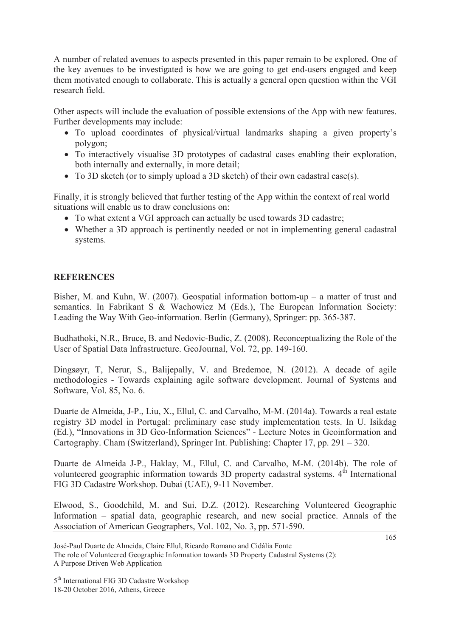A number of related avenues to aspects presented in this paper remain to be explored. One of the key avenues to be investigated is how we are going to get end-users engaged and keep them motivated enough to collaborate. This is actually a general open question within the VGI research field.

Other aspects will include the evaluation of possible extensions of the App with new features. Further developments may include:

- To upload coordinates of physical/virtual landmarks shaping a given property's polygon;
- To interactively visualise 3D prototypes of cadastral cases enabling their exploration, both internally and externally, in more detail;
- To 3D sketch (or to simply upload a 3D sketch) of their own cadastral case(s).

Finally, it is strongly believed that further testing of the App within the context of real world situations will enable us to draw conclusions on:

- To what extent a VGI approach can actually be used towards 3D cadastre;
- Whether a 3D approach is pertinently needed or not in implementing general cadastral systems.

# **REFERENCES**

Bisher, M. and Kuhn, W. (2007). Geospatial information bottom-up – a matter of trust and semantics. In Fabrikant S & Wachowicz M (Eds.), The European Information Society: Leading the Way With Geo-information. Berlin (Germany), Springer: pp. 365-387.

Budhathoki, N.R., Bruce, B. and Nedovic-Budic, Z. (2008). Reconceptualizing the Role of the User of Spatial Data Infrastructure. GeoJournal, Vol. 72, pp. 149-160.

Dingsøyr, T, Nerur, S., Balijepally, V. and Bredemoe, N. (2012). A decade of agile methodologies - Towards explaining agile software development. Journal of Systems and Software, Vol. 85, No. 6.

Duarte de Almeida, J-P., Liu, X., Ellul, C. and Carvalho, M-M. (2014a). Towards a real estate registry 3D model in Portugal: preliminary case study implementation tests. In U. Isikdag (Ed.), "Innovations in 3D Geo-Information Sciences" - Lecture Notes in Geoinformation and Cartography. Cham (Switzerland), Springer Int. Publishing: Chapter 17, pp. 291 – 320.

Duarte de Almeida J-P., Haklay, M., Ellul, C. and Carvalho, M-M. (2014b). The role of volunteered geographic information towards 3D property cadastral systems.  $4<sup>th</sup>$  International FIG 3D Cadastre Workshop. Dubai (UAE), 9-11 November.

Elwood, S., Goodchild, M. and Sui, D.Z. (2012). Researching Volunteered Geographic Information – spatial data, geographic research, and new social practice. Annals of the Association of American Geographers, Vol. 102, No. 3, pp. 571-590.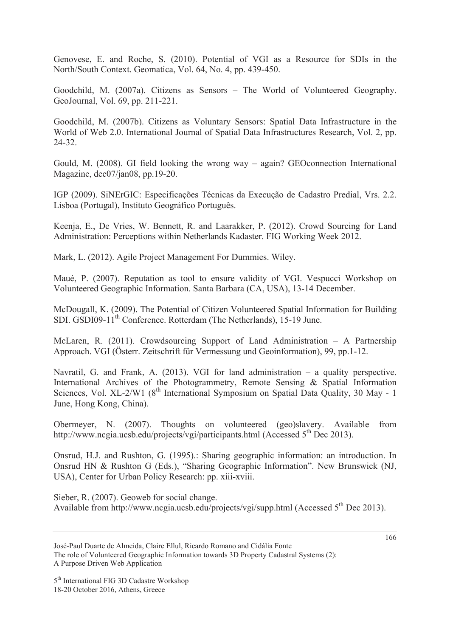Genovese, E. and Roche, S. (2010). Potential of VGI as a Resource for SDIs in the North/South Context. Geomatica, Vol. 64, No. 4, pp. 439-450.

Goodchild, M. (2007a). Citizens as Sensors – The World of Volunteered Geography. GeoJournal, Vol. 69, pp. 211-221.

Goodchild, M. (2007b). Citizens as Voluntary Sensors: Spatial Data Infrastructure in the World of Web 2.0. International Journal of Spatial Data Infrastructures Research, Vol. 2, pp. 24-32.

Gould, M. (2008). GI field looking the wrong way – again? GEOconnection International Magazine, dec07/jan08, pp.19-20.

IGP (2009). SiNErGIC: Especificações Técnicas da Execução de Cadastro Predial, Vrs. 2.2. Lisboa (Portugal), Instituto Geográfico Português.

Keenja, E., De Vries, W. Bennett, R. and Laarakker, P. (2012). Crowd Sourcing for Land Administration: Perceptions within Netherlands Kadaster. FIG Working Week 2012.

Mark, L. (2012). Agile Project Management For Dummies. Wiley.

Maué, P. (2007). Reputation as tool to ensure validity of VGI. Vespucci Workshop on Volunteered Geographic Information. Santa Barbara (CA, USA), 13-14 December.

McDougall, K. (2009). The Potential of Citizen Volunteered Spatial Information for Building SDI. GSDI09-11<sup>th</sup> Conference. Rotterdam (The Netherlands), 15-19 June.

McLaren, R. (2011). Crowdsourcing Support of Land Administration – A Partnership Approach. VGI (Österr. Zeitschrift für Vermessung und Geoinformation), 99, pp.1-12.

Navratil, G. and Frank, A. (2013). VGI for land administration – a quality perspective. International Archives of the Photogrammetry, Remote Sensing & Spatial Information Sciences, Vol. XL-2/W1 (8<sup>th</sup> International Symposium on Spatial Data Quality, 30 May - 1 June, Hong Kong, China).

Obermeyer, N. (2007). Thoughts on volunteered (geo)slavery. Available from http://www.ncgia.ucsb.edu/projects/vgi/participants.html (Accessed  $5<sup>th</sup>$  Dec 2013).

Onsrud, H.J. and Rushton, G. (1995).: Sharing geographic information: an introduction. In Onsrud HN & Rushton G (Eds.), "Sharing Geographic Information". New Brunswick (NJ, USA), Center for Urban Policy Research: pp. xiii-xviii.

Sieber, R. (2007). Geoweb for social change. Available from http://www.ncgia.ucsb.edu/projects/vgi/supp.html (Accessed  $5<sup>th</sup>$  Dec 2013).

José-Paul Duarte de Almeida, Claire Ellul, Ricardo Romano and Cidália Fonte The role of Volunteered Geographic Information towards 3D Property Cadastral Systems (2): A Purpose Driven Web Application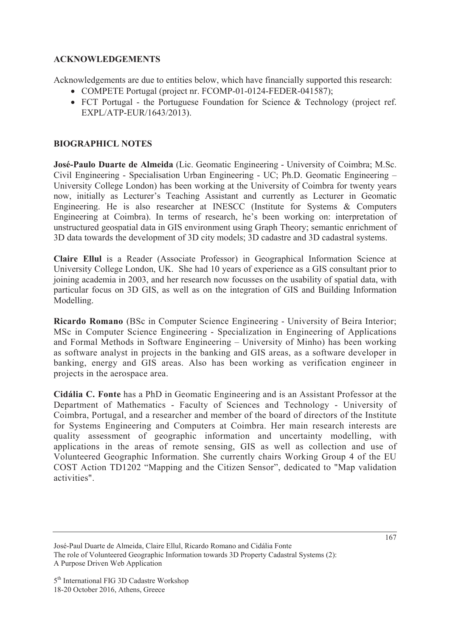### **ACKNOWLEDGEMENTS**

Acknowledgements are due to entities below, which have financially supported this research:

- COMPETE Portugal (project nr. FCOMP-01-0124-FEDER-041587);
- FCT Portugal the Portuguese Foundation for Science & Technology (project ref. EXPL/ATP-EUR/1643/2013).

## **BIOGRAPHICL NOTES**

**José-Paulo Duarte de Almeida** (Lic. Geomatic Engineering - University of Coimbra; M.Sc. Civil Engineering - Specialisation Urban Engineering - UC; Ph.D. Geomatic Engineering – University College London) has been working at the University of Coimbra for twenty years now, initially as Lecturer's Teaching Assistant and currently as Lecturer in Geomatic Engineering. He is also researcher at INESCC (Institute for Systems & Computers Engineering at Coimbra). In terms of research, he's been working on: interpretation of unstructured geospatial data in GIS environment using Graph Theory; semantic enrichment of 3D data towards the development of 3D city models; 3D cadastre and 3D cadastral systems.

**Claire Ellul** is a Reader (Associate Professor) in Geographical Information Science at University College London, UK. She had 10 years of experience as a GIS consultant prior to joining academia in 2003, and her research now focusses on the usability of spatial data, with particular focus on 3D GIS, as well as on the integration of GIS and Building Information Modelling.

**Ricardo Romano** (BSc in Computer Science Engineering - University of Beira Interior; MSc in Computer Science Engineering - Specialization in Engineering of Applications and Formal Methods in Software Engineering – University of Minho) has been working as software analyst in projects in the banking and GIS areas, as a software developer in banking, energy and GIS areas. Also has been working as verification engineer in projects in the aerospace area.

**Cidália C. Fonte** has a PhD in Geomatic Engineering and is an Assistant Professor at the Department of Mathematics - Faculty of Sciences and Technology - University of Coimbra, Portugal, and a researcher and member of the board of directors of the Institute for Systems Engineering and Computers at Coimbra. Her main research interests are quality assessment of geographic information and uncertainty modelling, with applications in the areas of remote sensing, GIS as well as collection and use of Volunteered Geographic Information. She currently chairs Working Group 4 of the EU COST Action TD1202 "Mapping and the Citizen Sensor", dedicated to "Map validation activities".

José-Paul Duarte de Almeida, Claire Ellul, Ricardo Romano and Cidália Fonte The role of Volunteered Geographic Information towards 3D Property Cadastral Systems (2): A Purpose Driven Web Application